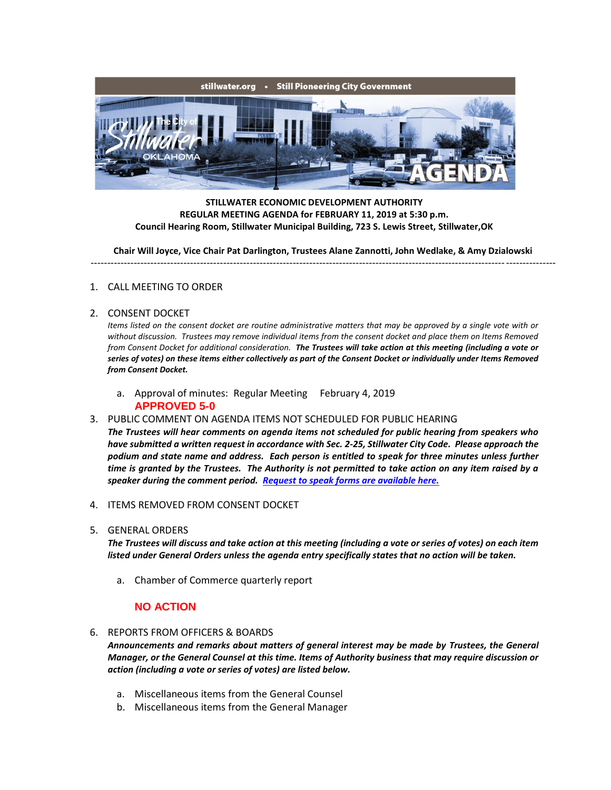

**STILLWATER ECONOMIC DEVELOPMENT AUTHORITY REGULAR MEETING AGENDA for FEBRUARY 11, 2019 at 5:30 p.m. Council Hearing Room, Stillwater Municipal Building, 723 S. Lewis Street, Stillwater,OK**

**Chair Will Joyce, Vice Chair Pat Darlington, Trustees Alane Zannotti, John Wedlake, & Amy Dzialowski** --------------------------------------------------------------------------------------------------------------------------------------------

## 1. CALL MEETING TO ORDER

2. CONSENT DOCKET

*Items listed on the consent docket are routine administrative matters that may be approved by a single vote with or*  without discussion. Trustees may remove individual items from the consent docket and place them on Items Removed *from Consent Docket for additional consideration. The Trustees will take action at this meeting (including a vote or series of votes) on these items either collectively as part of the Consent Docket or individually under Items Removed from Consent Docket.*

- a. Approval of minutes: Regular Meeting February 4, 2019 **APPROVED 5-0**
- 3. PUBLIC COMMENT ON AGENDA ITEMS NOT SCHEDULED FOR PUBLIC HEARING

*The Trustees will hear comments on agenda items not scheduled for public hearing from speakers who have submitted a written request in accordance with Sec. 2-25, Stillwater City Code. Please approach the podium and state name and address. Each person is entitled to speak for three minutes unless further time is granted by the Trustees. The Authority is not permitted to take action on any item raised by a speaker during the comment period. [Request to speak forms are available here.](http://stillwater.org/document/request_to_speak_at_city_council.php)*

- 4. ITEMS REMOVED FROM CONSENT DOCKET
- 5. GENERAL ORDERS

*The Trustees will discuss and take action at this meeting (including a vote or series of votes) on each item listed under General Orders unless the agenda entry specifically states that no action will be taken.*

a. Chamber of Commerce quarterly report

## **NO ACTION**

## 6. REPORTS FROM OFFICERS & BOARDS

*Announcements and remarks about matters of general interest may be made by Trustees, the General Manager, or the General Counsel at this time. Items of Authority business that may require discussion or action (including a vote or series of votes) are listed below.*

- a. Miscellaneous items from the General Counsel
- b. Miscellaneous items from the General Manager